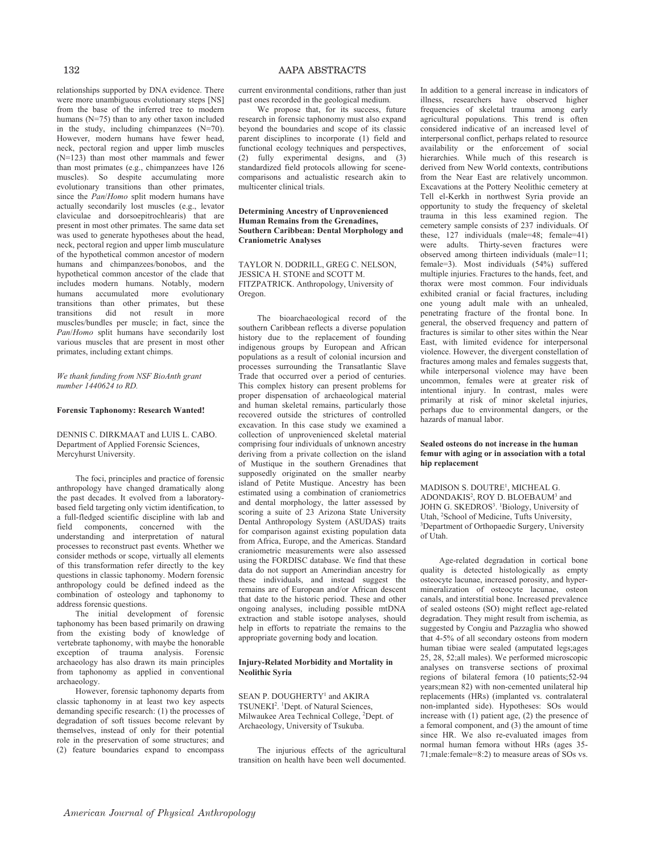relationships supported by DNA evidence. There were more unambiguous evolutionary steps [NS] from the base of the inferred tree to modern humans (N=75) than to any other taxon included in the study, including chimpanzees (N=70). However, modern humans have fewer head, neck, pectoral region and upper limb muscles  $(N=123)$  than most other mammals and fewer than most primates (e.g., chimpanzees have 126 muscles). So despite accumulating more evolutionary transitions than other primates, since the *Pan*/*Homo* split modern humans have actually secondarily lost muscles (e.g., levator claviculae and dorsoepitrochlearis) that are present in most other primates. The same data set was used to generate hypotheses about the head, neck, pectoral region and upper limb musculature of the hypothetical common ancestor of modern humans and chimpanzees/bonobos, and the hypothetical common ancestor of the clade that includes modern humans. Notably, modern humans accumulated more evolutionary transitions than other primates, but these transitions did not result in more muscles/bundles per muscle; in fact, since the *Pan*/*Homo* split humans have secondarily lost various muscles that are present in most other primates, including extant chimps.

*We thank funding from NSF BioAnth grant number 1440624 to RD.*

## **Forensic Taphonomy: Research Wanted!**

DENNIS C. DIRKMAAT and LUIS L. CABO. Department of Applied Forensic Sciences, Mercyhurst University.

The foci, principles and practice of forensic anthropology have changed dramatically along the past decades. It evolved from a laboratorybased field targeting only victim identification, to a full-fledged scientific discipline with lab and field components, concerned with the understanding and interpretation of natural processes to reconstruct past events. Whether we consider methods or scope, virtually all elements of this transformation refer directly to the key questions in classic taphonomy. Modern forensic anthropology could be defined indeed as the combination of osteology and taphonomy to address forensic questions.

The initial development of forensic taphonomy has been based primarily on drawing from the existing body of knowledge of vertebrate taphonomy, with maybe the honorable exception of trauma analysis. Forensic archaeology has also drawn its main principles from taphonomy as applied in conventional archaeology.

However, forensic taphonomy departs from classic taphonomy in at least two key aspects demanding specific research: (1) the processes of degradation of soft tissues become relevant by themselves, instead of only for their potential role in the preservation of some structures; and (2) feature boundaries expand to encompass

# 132 AAPA ABSTRACTS

current environmental conditions, rather than just past ones recorded in the geological medium.

We propose that, for its success, future research in forensic taphonomy must also expand beyond the boundaries and scope of its classic parent disciplines to incorporate (1) field and functional ecology techniques and perspectives, (2) fully experimental designs, and (3) standardized field protocols allowing for scenecomparisons and actualistic research akin to multicenter clinical trials.

## **Determining Ancestry of Unprovenienced Human Remains from the Grenadines, Southern Caribbean: Dental Morphology and Craniometric Analyses**

TAYLOR N. DODRILL, GREG C. NELSON, JESSICA H. STONE and SCOTT M. FITZPATRICK. Anthropology, University of Oregon.

The bioarchaeological record of the southern Caribbean reflects a diverse population history due to the replacement of founding indigenous groups by European and African populations as a result of colonial incursion and processes surrounding the Transatlantic Slave Trade that occurred over a period of centuries. This complex history can present problems for proper dispensation of archaeological material and human skeletal remains, particularly those recovered outside the strictures of controlled excavation. In this case study we examined a collection of unprovenienced skeletal material comprising four individuals of unknown ancestry deriving from a private collection on the island of Mustique in the southern Grenadines that supposedly originated on the smaller nearby island of Petite Mustique. Ancestry has been estimated using a combination of craniometrics and dental morphology, the latter assessed by scoring a suite of 23 Arizona State University Dental Anthropology System (ASUDAS) traits for comparison against existing population data from Africa, Europe, and the Americas. Standard craniometric measurements were also assessed using the FORDISC database. We find that these data do not support an Amerindian ancestry for these individuals, and instead suggest the remains are of European and/or African descent that date to the historic period. These and other ongoing analyses, including possible mtDNA extraction and stable isotope analyses, should help in efforts to repatriate the remains to the appropriate governing body and location.

## **Injury-Related Morbidity and Mortality in Neolithic Syria**

SEAN P. DOUGHERTY<sup>1</sup> and AKIRA TSUNEKI<sup>2</sup>. <sup>1</sup>Dept. of Natural Sciences, Milwaukee Area Technical College, <sup>2</sup>Dept. of Archaeology, University of Tsukuba.

The injurious effects of the agricultural transition on health have been well documented.

In addition to a general increase in indicators of illness, researchers have observed higher frequencies of skeletal trauma among early agricultural populations. This trend is often considered indicative of an increased level of interpersonal conflict, perhaps related to resource availability or the enforcement of social hierarchies. While much of this research is derived from New World contexts, contributions from the Near East are relatively uncommon. Excavations at the Pottery Neolithic cemetery at Tell el-Kerkh in northwest Syria provide an opportunity to study the frequency of skeletal trauma in this less examined region. The cemetery sample consists of 237 individuals. Of these, 127 individuals (male=48; female=41) were adults. Thirty-seven fractures were observed among thirteen individuals (male=11; female=3). Most individuals (54%) suffered multiple injuries. Fractures to the hands, feet, and thorax were most common. Four individuals exhibited cranial or facial fractures, including one young adult male with an unhealed, penetrating fracture of the frontal bone. In general, the observed frequency and pattern of fractures is similar to other sites within the Near East, with limited evidence for interpersonal violence. However, the divergent constellation of fractures among males and females suggests that, while interpersonal violence may have been uncommon, females were at greater risk of intentional injury. In contrast, males were primarily at risk of minor skeletal injuries, perhaps due to environmental dangers, or the hazards of manual labor.

### **Sealed osteons do not increase in the human femur with aging or in association with a total hip replacement**

MADISON S. DOUTRE<sup>1</sup>, MICHEAL G. ADONDAKIS<sup>2</sup>, ROY D. BLOEBAUM<sup>3</sup> and JOHN G. SKEDROS<sup>3</sup>. <sup>1</sup>Biology, University of Utah, <sup>2</sup>School of Medicine, Tufts University, Department of Orthopaedic Surgery, University of Utah.

Age-related degradation in cortical bone quality is detected histologically as empty osteocyte lacunae, increased porosity, and hypermineralization of osteocyte lacunae, osteon canals, and interstitial bone. Increased prevalence of sealed osteons (SO) might reflect age-related degradation. They might result from ischemia, as suggested by Congiu and Pazzaglia who showed that 4-5% of all secondary osteons from modern human tibiae were sealed (amputated legs;ages 25, 28, 52;all males). We performed microscopic analyses on transverse sections of proximal regions of bilateral femora (10 patients;52-94 years;mean 82) with non-cemented unilateral hip replacements (HRs) (implanted vs. contralateral non-implanted side). Hypotheses: SOs would increase with (1) patient age, (2) the presence of a femoral component, and (3) the amount of time since HR. We also re-evaluated images from normal human femora without HRs (ages 35- 71;male:female=8:2) to measure areas of SOs vs.